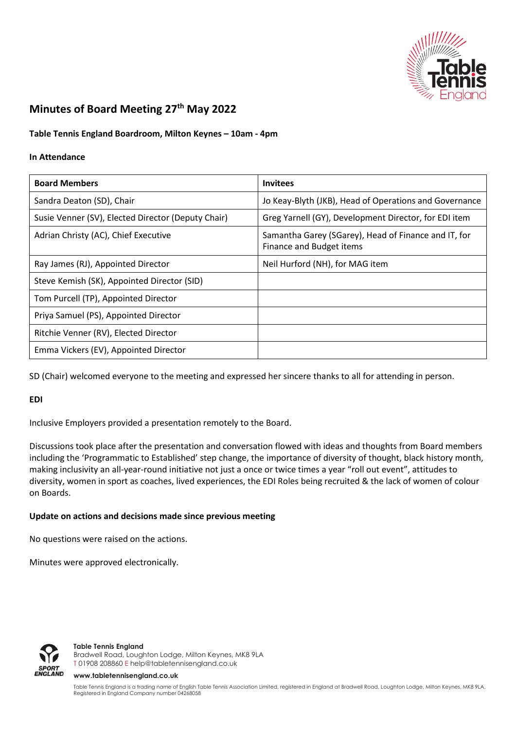

# **Minutes of Board Meeting 27 th May 2022**

# **Table Tennis England Boardroom, Milton Keynes – 10am - 4pm**

### **In Attendance**

| <b>Board Members</b>                               | <b>Invitees</b>                                                                  |
|----------------------------------------------------|----------------------------------------------------------------------------------|
| Sandra Deaton (SD), Chair                          | Jo Keay-Blyth (JKB), Head of Operations and Governance                           |
| Susie Venner (SV), Elected Director (Deputy Chair) | Greg Yarnell (GY), Development Director, for EDI item                            |
| Adrian Christy (AC), Chief Executive               | Samantha Garey (SGarey), Head of Finance and IT, for<br>Finance and Budget items |
| Ray James (RJ), Appointed Director                 | Neil Hurford (NH), for MAG item                                                  |
| Steve Kemish (SK), Appointed Director (SID)        |                                                                                  |
| Tom Purcell (TP), Appointed Director               |                                                                                  |
| Priya Samuel (PS), Appointed Director              |                                                                                  |
| Ritchie Venner (RV), Elected Director              |                                                                                  |
| Emma Vickers (EV), Appointed Director              |                                                                                  |

SD (Chair) welcomed everyone to the meeting and expressed her sincere thanks to all for attending in person.

# **EDI**

Inclusive Employers provided a presentation remotely to the Board.

Discussions took place after the presentation and conversation flowed with ideas and thoughts from Board members including the 'Programmatic to Established' step change, the importance of diversity of thought, black history month, making inclusivity an all-year-round initiative not just a once or twice times a year "roll out event", attitudes to diversity, women in sport as coaches, lived experiences, the EDI Roles being recruited & the lack of women of colour on Boards.

# **Update on actions and decisions made since previous meeting**

No questions were raised on the actions.

Minutes were approved electronically.



#### **Table Tennis England**

Bradwell Road, Loughton Lodge, Milton Keynes, MK8 9LA T 01908 208860 [E help@tabletennisengland.co.uk](mailto:help@tabletennisengland.co.uk)

#### **[www.tabletennisengland.co.uk](http://www.tabletennisengland.co.uk/)**

Table Tennis England is a trading name of English Table Tennis Association Limited, registered in England at Bradwell Road, Loughton Lodge, Milton Keynes, MK8 9LA. Registered in England Company number 04268058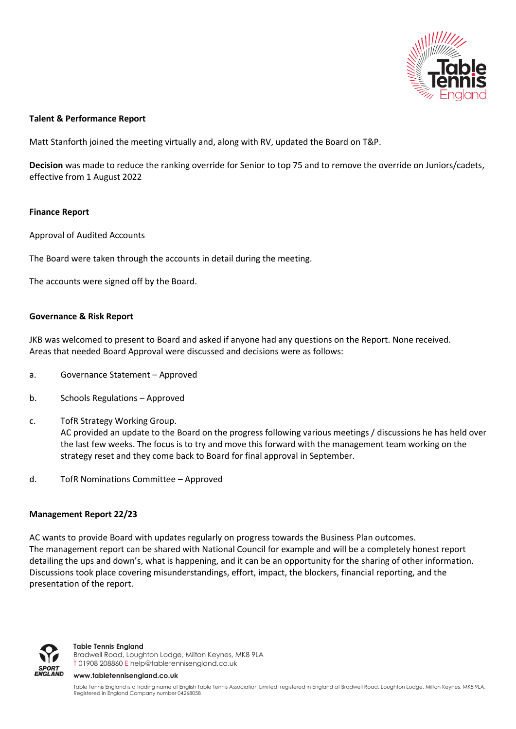

# **Talent & Performance Report**

Matt Stanforth joined the meeting virtually and, along with RV, updated the Board on T&P.

**Decision** was made to reduce the ranking override for Senior to top 75 and to remove the override on Juniors/cadets, effective from 1 August 2022

# **Finance Report**

Approval of Audited Accounts

The Board were taken through the accounts in detail during the meeting.

The accounts were signed off by the Board.

# **Governance & Risk Report**

JKB was welcomed to present to Board and asked if anyone had any questions on the Report. None received. Areas that needed Board Approval were discussed and decisions were as follows:

- a. Governance Statement Approved
- b. Schools Regulations Approved
- c. TofR Strategy Working Group. AC provided an update to the Board on the progress following various meetings / discussions he has held over the last few weeks. The focus is to try and move this forward with the management team working on the strategy reset and they come back to Board for final approval in September.
- d. TofR Nominations Committee Approved

# **Management Report 22/23**

AC wants to provide Board with updates regularly on progress towards the Business Plan outcomes. The management report can be shared with National Council for example and will be a completely honest report detailing the ups and down's, what is happening, and it can be an opportunity for the sharing of other information. Discussions took place covering misunderstandings, effort, impact, the blockers, financial reporting, and the presentation of the report.



#### **Table Tennis England**

Bradwell Road, Loughton Lodge, Milton Keynes, MK8 9LA T 01908 208860 [E help@tabletennisengland.co.uk](mailto:help@tabletennisengland.co.uk)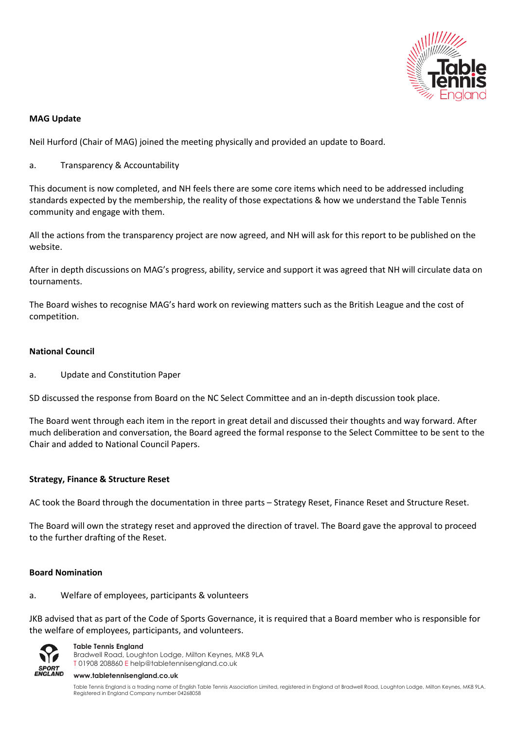

# **MAG Update**

Neil Hurford (Chair of MAG) joined the meeting physically and provided an update to Board.

a. Transparency & Accountability

This document is now completed, and NH feels there are some core items which need to be addressed including standards expected by the membership, the reality of those expectations & how we understand the Table Tennis community and engage with them.

All the actions from the transparency project are now agreed, and NH will ask for this report to be published on the website.

After in depth discussions on MAG's progress, ability, service and support it was agreed that NH will circulate data on tournaments.

The Board wishes to recognise MAG's hard work on reviewing matters such as the British League and the cost of competition.

# **National Council**

a. Update and Constitution Paper

SD discussed the response from Board on the NC Select Committee and an in-depth discussion took place.

The Board went through each item in the report in great detail and discussed their thoughts and way forward. After much deliberation and conversation, the Board agreed the formal response to the Select Committee to be sent to the Chair and added to National Council Papers.

# **Strategy, Finance & Structure Reset**

AC took the Board through the documentation in three parts – Strategy Reset, Finance Reset and Structure Reset.

The Board will own the strategy reset and approved the direction of travel. The Board gave the approval to proceed to the further drafting of the Reset.

# **Board Nomination**

# a. Welfare of employees, participants & volunteers

JKB advised that as part of the Code of Sports Governance, it is required that a Board member who is responsible for the welfare of employees, participants, and volunteers.



**Table Tennis England** Bradwell Road, Loughton Lodge, Milton Keynes, MK8 9LA T 01908 208860 [E help@tabletennisengland.co.uk](mailto:help@tabletennisengland.co.uk)

#### **[www.tabletennisengland.co.uk](http://www.tabletennisengland.co.uk/)**

Table Tennis England is a trading name of English Table Tennis Association Limited, registered in England at Bradwell Road, Loughton Lodge, Milton Keynes, MK8 9LA. Registered in England Company number 04268058